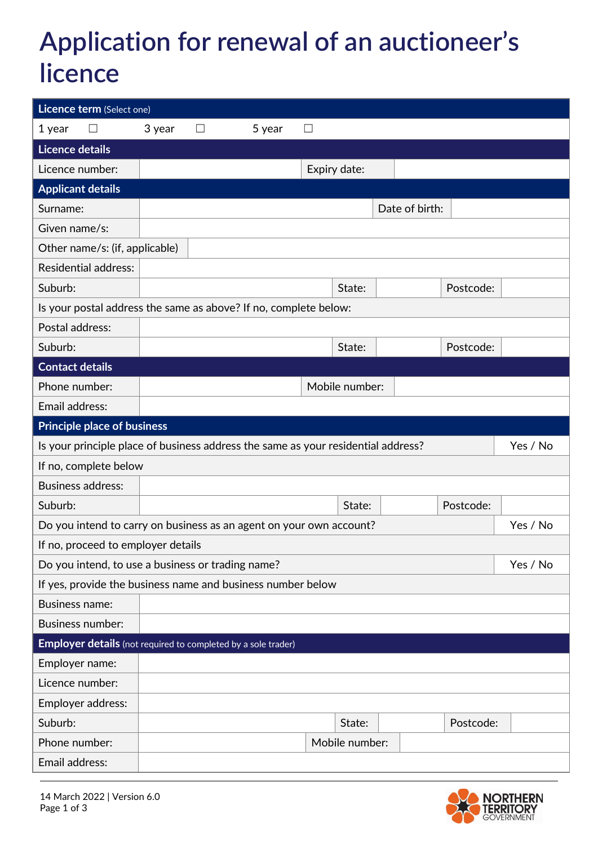## **Application for renewal of an auctioneer's licence**

| Licence term (Select one)                                                         |        |   |        |              |                |                |           |          |
|-----------------------------------------------------------------------------------|--------|---|--------|--------------|----------------|----------------|-----------|----------|
| 1 year<br>$\mathsf{L}$                                                            | 3 year | Ш | 5 year | $\mathbf{L}$ |                |                |           |          |
| <b>Licence details</b>                                                            |        |   |        |              |                |                |           |          |
| Licence number:                                                                   |        |   |        | Expiry date: |                |                |           |          |
| <b>Applicant details</b>                                                          |        |   |        |              |                |                |           |          |
| Surname:                                                                          |        |   |        |              |                | Date of birth: |           |          |
| Given name/s:                                                                     |        |   |        |              |                |                |           |          |
| Other name/s: (if, applicable)                                                    |        |   |        |              |                |                |           |          |
| <b>Residential address:</b>                                                       |        |   |        |              |                |                |           |          |
| Suburb:                                                                           |        |   |        |              | State:         |                | Postcode: |          |
| Is your postal address the same as above? If no, complete below:                  |        |   |        |              |                |                |           |          |
| Postal address:                                                                   |        |   |        |              |                |                |           |          |
| Suburb:                                                                           |        |   |        |              | State:         |                | Postcode: |          |
| <b>Contact details</b>                                                            |        |   |        |              |                |                |           |          |
| Phone number:                                                                     |        |   |        |              | Mobile number: |                |           |          |
| Email address:                                                                    |        |   |        |              |                |                |           |          |
| <b>Principle place of business</b>                                                |        |   |        |              |                |                |           |          |
|                                                                                   |        |   |        |              |                |                |           |          |
| Is your principle place of business address the same as your residential address? |        |   |        |              |                |                |           | Yes / No |
| If no, complete below                                                             |        |   |        |              |                |                |           |          |
| <b>Business address:</b>                                                          |        |   |        |              |                |                |           |          |
| Suburb:                                                                           |        |   |        |              | State:         |                | Postcode: |          |
| Do you intend to carry on business as an agent on your own account?               |        |   |        |              |                |                |           | Yes / No |
| If no, proceed to employer details                                                |        |   |        |              |                |                |           |          |
| Do you intend, to use a business or trading name?                                 |        |   |        |              |                |                |           | Yes / No |
| If yes, provide the business name and business number below                       |        |   |        |              |                |                |           |          |
| <b>Business name:</b>                                                             |        |   |        |              |                |                |           |          |
| <b>Business number:</b>                                                           |        |   |        |              |                |                |           |          |
| <b>Employer details</b> (not required to completed by a sole trader)              |        |   |        |              |                |                |           |          |
| Employer name:                                                                    |        |   |        |              |                |                |           |          |
| Licence number:                                                                   |        |   |        |              |                |                |           |          |
| Employer address:                                                                 |        |   |        |              |                |                |           |          |
| Suburb:                                                                           |        |   |        |              | State:         |                | Postcode: |          |
| Phone number:                                                                     |        |   |        |              | Mobile number: |                |           |          |



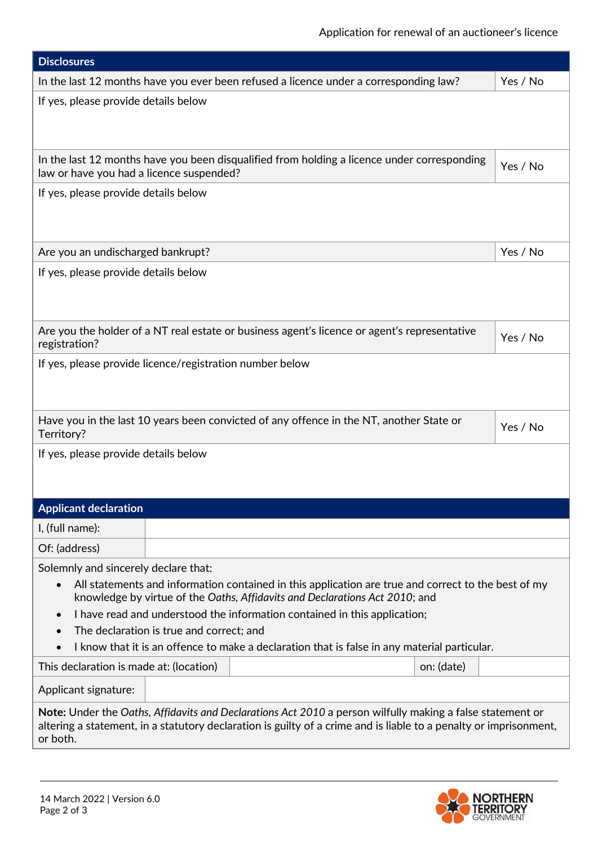| <b>Disclosures</b>                                                                                                                                                                                                                                                                                                                                                                                                                                                                         |          |  |  |  |  |  |
|--------------------------------------------------------------------------------------------------------------------------------------------------------------------------------------------------------------------------------------------------------------------------------------------------------------------------------------------------------------------------------------------------------------------------------------------------------------------------------------------|----------|--|--|--|--|--|
| In the last 12 months have you ever been refused a licence under a corresponding law?                                                                                                                                                                                                                                                                                                                                                                                                      | Yes / No |  |  |  |  |  |
| If yes, please provide details below                                                                                                                                                                                                                                                                                                                                                                                                                                                       |          |  |  |  |  |  |
| In the last 12 months have you been disqualified from holding a licence under corresponding<br>law or have you had a licence suspended?                                                                                                                                                                                                                                                                                                                                                    | Yes / No |  |  |  |  |  |
| If yes, please provide details below                                                                                                                                                                                                                                                                                                                                                                                                                                                       |          |  |  |  |  |  |
| Are you an undischarged bankrupt?                                                                                                                                                                                                                                                                                                                                                                                                                                                          | Yes / No |  |  |  |  |  |
| If yes, please provide details below                                                                                                                                                                                                                                                                                                                                                                                                                                                       |          |  |  |  |  |  |
| Are you the holder of a NT real estate or business agent's licence or agent's representative<br>registration?                                                                                                                                                                                                                                                                                                                                                                              | Yes / No |  |  |  |  |  |
| If yes, please provide licence/registration number below                                                                                                                                                                                                                                                                                                                                                                                                                                   |          |  |  |  |  |  |
| Have you in the last 10 years been convicted of any offence in the NT, another State or<br>Territory?                                                                                                                                                                                                                                                                                                                                                                                      |          |  |  |  |  |  |
| If yes, please provide details below                                                                                                                                                                                                                                                                                                                                                                                                                                                       |          |  |  |  |  |  |
| <b>Applicant declaration</b>                                                                                                                                                                                                                                                                                                                                                                                                                                                               |          |  |  |  |  |  |
| I, (full name):                                                                                                                                                                                                                                                                                                                                                                                                                                                                            |          |  |  |  |  |  |
| Of: (address)                                                                                                                                                                                                                                                                                                                                                                                                                                                                              |          |  |  |  |  |  |
| Solemnly and sincerely declare that:<br>All statements and information contained in this application are true and correct to the best of my<br>knowledge by virtue of the Oaths, Affidavits and Declarations Act 2010; and<br>I have read and understood the information contained in this application;<br>$\bullet$<br>The declaration is true and correct; and<br>$\bullet$<br>I know that it is an offence to make a declaration that is false in any material particular.<br>$\bullet$ |          |  |  |  |  |  |
| This declaration is made at: (location)<br>on: (date)                                                                                                                                                                                                                                                                                                                                                                                                                                      |          |  |  |  |  |  |
| Applicant signature:                                                                                                                                                                                                                                                                                                                                                                                                                                                                       |          |  |  |  |  |  |
| Note: Under the Oaths, Affidavits and Declarations Act 2010 a person wilfully making a false statement or<br>altering a statement, in a statutory declaration is guilty of a crime and is liable to a penalty or imprisonment,<br>or both.                                                                                                                                                                                                                                                 |          |  |  |  |  |  |